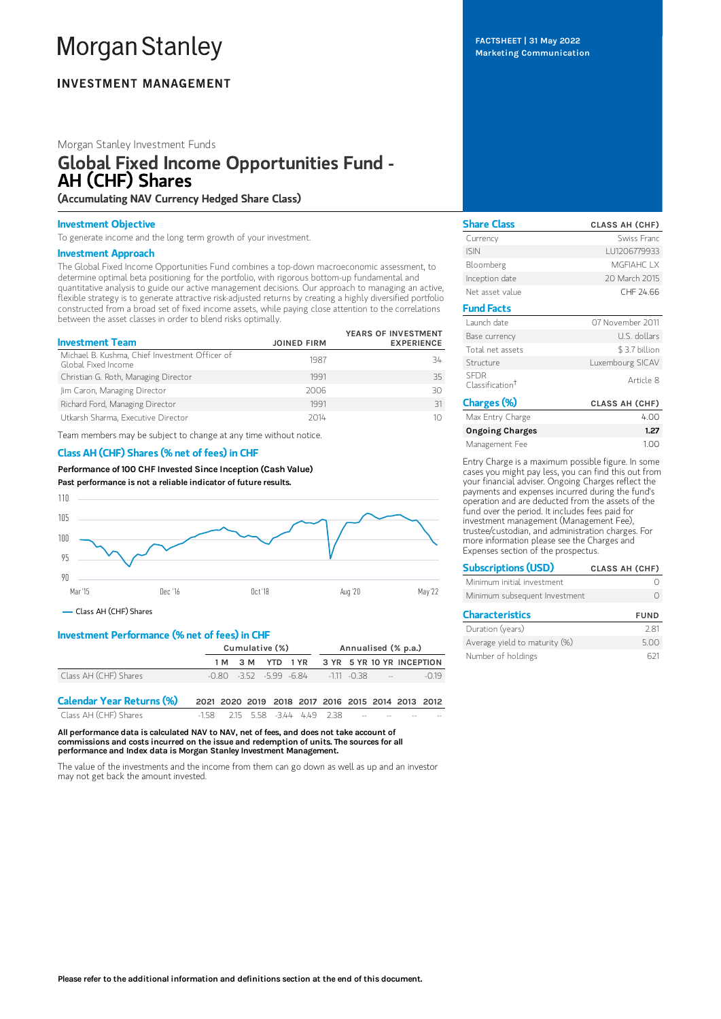# **Morgan Stanley**

### **INVESTMENT MANAGEMENT**

#### Morgan Stanley Investment Funds

## Global Fixed Income Opportunities Fund - AH (CHF) Shares

(Accumulating NAV Currency Hedged Share Class)

#### Investment Objective

To generate income and the long term growth of your investment.

#### Investment Approach

The Global Fixed Income Opportunities Fund combines a top-down macroeconomic assessment, to determine optimal beta positioning for the portfolio, with rigorous bottom-up fundamental and quantitative analysis to guide our active management decisions. Our approach to managing an active, flexible strategy is to generate attractive risk-adjusted returns by creating a highly diversified portfolio constructed from a broad set of fixed income assets, while paying close attention to the correlations between the asset classes in order to blend risks optimally.

| <b>Investment Team</b>                                                | <b>JOINED FIRM</b> | YEARS OF INVESTMENT<br><b>EXPERIENCE</b> |
|-----------------------------------------------------------------------|--------------------|------------------------------------------|
| Michael B. Kushma, Chief Investment Officer of<br>Global Fixed Income | 1987               | 34                                       |
| Christian G. Roth, Managing Director                                  | 1991               | 35                                       |
| Jim Caron, Managing Director                                          | 2006               | 30                                       |
| Richard Ford, Managing Director                                       | 1991               | 31                                       |
| Utkarsh Sharma, Executive Director                                    | 2014               | 10                                       |

Team members may be subject to change at any time without notice.

#### Class AH (CHF) Shares (% net of fees) in CHF

Performance of100 CHF Invested Since Inception (Cash Value) Past performance is not a reliable indicator of future results.



Class AH (CHF) Shares

#### Investment Performance (% net of fees) in CHF

|                           | Cumulative (%)                                    |  |  |                                                      | Annualised (% p.a.) |  |  |  |        |
|---------------------------|---------------------------------------------------|--|--|------------------------------------------------------|---------------------|--|--|--|--------|
|                           |                                                   |  |  | 1M 3M YTD 1YR 3YR 5YR 10YR INCEPTION                 |                     |  |  |  |        |
| Class AH (CHF) Shares     |                                                   |  |  | $-0.80$ $-3.52$ $-5.99$ $-6.84$ $-111$ $-0.38$ $-11$ |                     |  |  |  | $-019$ |
| Calandar Vaar Datuma (0/) | 0001 0000 0010 0010 0017 0010 0015 0014 0010 0010 |  |  |                                                      |                     |  |  |  |        |

| <b>Calendar Year Returns (%)</b> |                                        |  |  |  |        | 2021 2020 2019 2018 2017 2016 2015 2014 2013 2012 |
|----------------------------------|----------------------------------------|--|--|--|--------|---------------------------------------------------|
| Class AH (CHF) Shares            | $-1.58$ 2.15 5.58 -3.44 4.49 2.38 -- - |  |  |  | $\sim$ | $-$                                               |

All performance data is calculated NAV to NAV, net of fees, and does not take account of commissions and costs incurred on the issue and redemption of units. The sources for all performance and Index data is Morgan Stanley Investment Management.

The value of the investments and the income from them can go down as well as up and an investor may not get back the amount invested.

FACTSHEET | 31 May 2022 Marketing Communication

| <b>Share Class</b>                         | <b>CLASS AH (CHF)</b> |
|--------------------------------------------|-----------------------|
| Currency                                   | Swiss Franc           |
| <b>ISIN</b>                                | LU1206779933          |
| Bloomberg                                  | <b>MGFIAHCLX</b>      |
| Inception date                             | 20 March 2015         |
| Net asset value                            | CHF 24.66             |
| <b>Fund Facts</b>                          |                       |
| Launch date                                | 07 November 2011      |
| Base currency                              | U.S. dollars          |
| Total net assets                           | \$3.7 billion         |
| Structure                                  | Luxembourg SICAV      |
| <b>SEDR</b><br>Classification <sup>†</sup> | Article 8             |
| Charges (%)                                | <b>CLASS AH (CHF)</b> |
| Max Entry Charge                           | 4.00                  |
| <b>Ongoing Charges</b>                     | 1.27                  |
| Management Fee                             | 1.00                  |

Entry Charge is a maximum possible figure. In some cases you might pay less, you can find this out from your financial adviser. Ongoing Charges reflect the payments and expenses incurred during the fund's operation and are deducted from the assets of the fund over the period. It includes fees paid for investment management (Management Fee), trustee/custodian, and administration charges. For more information please see the Charges and Expenses section of the prospectus.

| <b>Subscriptions (USD)</b>    | <b>CLASS AH (CHF)</b> |
|-------------------------------|-----------------------|
| Minimum initial investment    |                       |
| Minimum subsequent Investment |                       |
| <b>Characteristics</b>        | <b>FUND</b>           |
| Duration (years)              | 7.81                  |

| Duration (years)              | 2.81 |
|-------------------------------|------|
| Average yield to maturity (%) | 5.00 |
| Number of holdings            | 621  |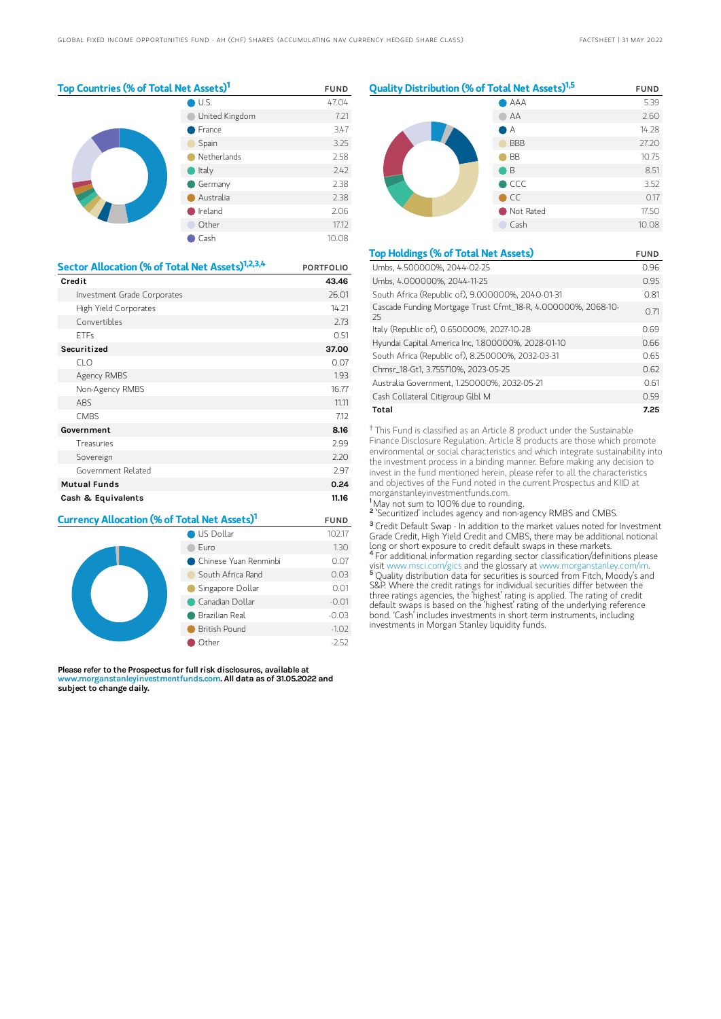| Top Countries (% of Total Net Assets) <sup>1</sup> | <b>FUND</b>    |       |
|----------------------------------------------------|----------------|-------|
|                                                    | U.S.           | 47.04 |
|                                                    | United Kingdom | 7.21  |
|                                                    | France         | 3.47  |
|                                                    | Spain          | 3.25  |
|                                                    | Netherlands    | 2.58  |
|                                                    | Italy          | 2.42  |
|                                                    | Germany        | 2.38  |
|                                                    | Australia      | 2.38  |
|                                                    | Ireland        | 2.06  |
|                                                    | Other          | 17.12 |
|                                                    | Cash           | 10.08 |

| Sector Allocation (% of Total Net Assets) <sup>1,2,3,4</sup> | <b>PORTFOLIO</b> |
|--------------------------------------------------------------|------------------|
| Credit                                                       | 43.46            |
| Investment Grade Corporates                                  | 26.01            |
| High Yield Corporates                                        | 14.21            |
| Convertibles                                                 | 2.73             |
| <b>FTFs</b>                                                  | 0.51             |
| Securitized                                                  | 37.00            |
| CLO                                                          | 0.07             |
| Agency RMBS                                                  | 1.93             |
| Non-Agency RMBS                                              | 16.77            |
| ABS                                                          | 11.11            |
| <b>CMBS</b>                                                  | 7.12             |
| Government                                                   | 8.16             |
| Treasuries                                                   | 2.99             |
| Sovereign                                                    | 2.20             |
| Government Related                                           | 2.97             |
| <b>Mutual Funds</b>                                          | 0.24             |
| Cash & Equivalents                                           | 11.16            |

| Currency Allocation (% of Total Net Assets) <sup>1</sup> | <b>FUND</b>           |         |
|----------------------------------------------------------|-----------------------|---------|
|                                                          | US Dollar             | 102.17  |
|                                                          | Furo                  | 1.30    |
|                                                          | Chinese Yuan Renminbi | 0.07    |
|                                                          | South Africa Rand     | 0.03    |
|                                                          | Singapore Dollar      | 0.01    |
|                                                          | Canadian Dollar       | $-0.01$ |
|                                                          | $-0.03$               |         |
|                                                          | British Pound         | $-1.02$ |
|                                                          | Other                 | $-2.52$ |

Please refer to the Prospectus for full risk disclosures, available at www.morganstanleyinvestmentfunds.com. All data as of 31.05.2022 and subject to change daily.



| <b>Top Holdings (% of Total Net Assets)</b>                         | <b>FUND</b> |
|---------------------------------------------------------------------|-------------|
| Umbs, 4.500000%, 2044-02-25                                         | 0.96        |
| Umbs, 4.000000%, 2044-11-25                                         | 0.95        |
| South Africa (Republic of), 9.000000%, 2040-01-31                   | 0.81        |
| Cascade Funding Mortgage Trust Cfmt_18-R, 4.000000%, 2068-10-<br>25 | 0.71        |
| Italy (Republic of), 0.650000%, 2027-10-28                          | 0.69        |
| Hyundai Capital America Inc, 1.800000%, 2028-01-10                  | 0.66        |
| South Africa (Republic of), 8.250000%, 2032-03-31                   | O 65        |
| Chmsr_18-Gt1, 3.755710%, 2023-05-25                                 | 0.62        |
| Australia Government, 1.250000%, 2032-05-21                         | 0.61        |
| Cash Collateral Citigroup Glbl M                                    | 0.59        |
| Total                                                               | 7.25        |

<sup>†</sup> This Fund is classified as an Article 8 product under the Sustainable Finance Disclosure Regulation. Article 8 products are those which promote environmental or social characteristics and which integrate sustainability into the investment process in a binding manner. Before making any decision to invest in the fund mentioned herein, please refer to all the characteristics and objectives of the Fund noted in the current Prospectus and KIID at morganstanleyinvestmentfunds.com.

<sup>1</sup>May not sum to 100% due to rounding.

<sup>2</sup> 'Securitized' includes agency and non-agency RMBS and CMBS.

<sup>3</sup> Credit Default Swap - In addition to the market values noted for Investment Grade Credit, High Yield Credit and CMBS, there may be additional notional long or short exposure to credit default swaps in these markets. <sup>4</sup> For additional information regarding sector classification/definitions please

visit www.msci.com/gics and the glossary at www.morganstanley.com/im. <sup>5</sup> Quality distribution data for securities is sourced from Fitch, Moody's and S&P. Where the credit ratings for individual securities differ between the three ratings agencies, the 'highest' rating is applied. The rating of credit default swaps is based on the 'highest' rating of the underlying reference bond. 'Cash' includes investments in short term instruments, including investments in Morgan Stanley liquidity funds.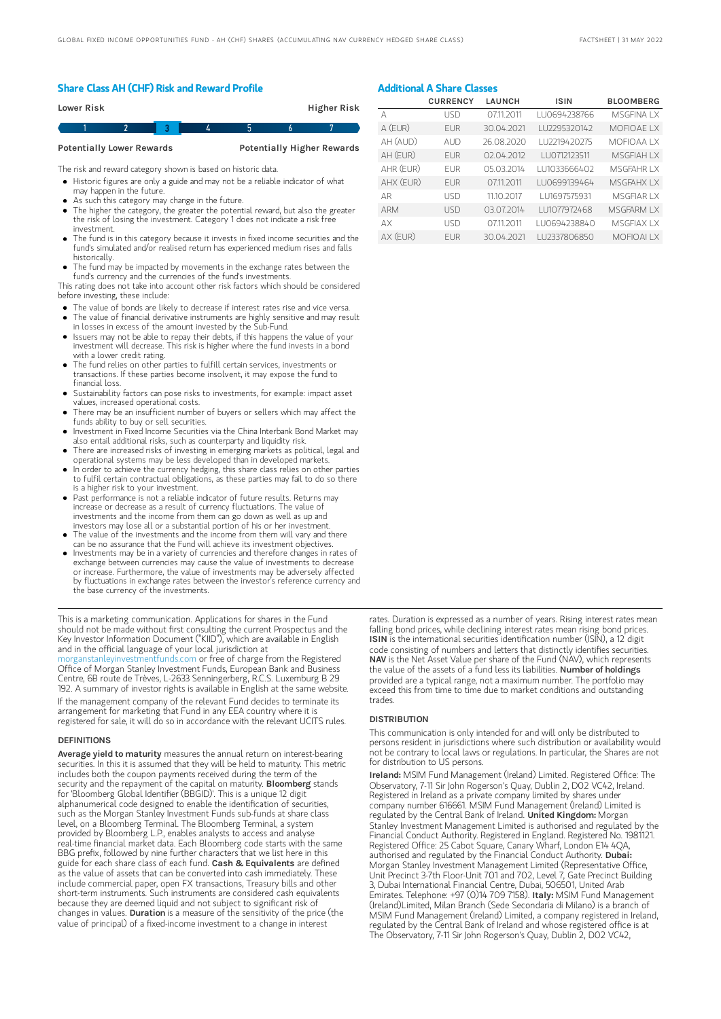#### Share Class AH (CHF) Risk and Reward Profile

| Lower Risk |  |  | <b>Higher Risk</b> |
|------------|--|--|--------------------|
|            |  |  |                    |

Potentially Lower Rewards Potentially Higher Rewards

The risk and reward category shown is based on historic data.

- Historic figures are only a guide and may not be a reliable indicator of what may happen in the future.
- As such this category may change in the future.
- The higher the category, the greater the potential reward, but also the greater the risk of losing the investment. Category 1 does not indicate a risk free investment.
- The fund is in this category because it invests in fixed income securities and the fund's simulated and/or realised return has experienced medium rises and falls historically.
- The fund may be impacted by movements in the exchange rates between the fund's currency and the currencies of the fund's investments.

This rating does not take into account other risk factors which should be considered before investing, these include:

- The value of bonds are likely to decrease if interest rates rise and vice versa.
- The value of financial derivative instruments are highly sensitive and may result in losses in excess of the amount invested by the Sub-Fund.
- Issuers may not be able to repay their debts, if this happens the value of your investment will decrease. This risk is higher where the fund invests in a bond with a lower credit rating.
- The fund relies on other parties to fulfill certain services, investments or transactions. If these parties become insolvent, it may expose the fund to financial loss.
- Sustainability factors can pose risks to investments, for example: impact asset values, increased operational costs.
- There may be an insufficient number of buyers or sellers which may affect the funds ability to buy or sell securities.
- Investment in Fixed Income Securities via the China Interbank Bond Market may also entail additional risks, such as counterparty and liquidity risk.
- There are increased risks of investing in emerging markets as political, legal and operational systems may be less developed than in developed markets.
- In order to achieve the currency hedging, this share class relies on other parties to fulfil certain contractual obligations, as these parties may fail to do so there is a higher risk to your investment.
- Past performance is not a reliable indicator of future results. Returns may increase or decrease as a result of currency fluctuations. The value of investments and the income from them can go down as well as up and investors may lose all or a substantial portion of his or her investment.
- The value of the investments and the income from them will vary and there can be no assurance that the Fund will achieve its investment objectives.
- Investments may be in a variety of currencies and therefore changes in rates of exchange between currencies may cause the value of investments to decrease or increase. Furthermore, the value of investments may be adversely affected by fluctuations in exchange rates between the investor's reference currency and the base currency of the investments.

This is a marketing communication. Applications for shares in the Fund should not be made without first consulting the current Prospectus and the Key Investor Information Document ("KIID"), which are available in English and in the official language of your local jurisdiction at

[morganstanleyinvestmentfunds.com](https://www.morganstanley.com/im/msinvf/index.html) or free of charge from the Registered Office of Morgan Stanley Investment Funds, European Bank and Business Centre, 6B route de Trèves, L-2633 Senningerberg, R.C.S. Luxemburg B 29 192. A summary of investor rights is available in English at the same website.

If the management company of the relevant Fund decides to terminate its arrangement for marketing that Fund in any EEA country where it is registered for sale, it will do so in accordance with the relevant UCITS rules.

#### **DEFINITIONS**

Average yield to maturity measures the annual return on interest-bearing securities. In this it is assumed that they will be held to maturity. This metric includes both the coupon payments received during the term of the security and the repayment of the capital on maturity. **Bloomberg** stands for 'Bloomberg Global Identifier (BBGID)'. This is a unique 12 digit alphanumerical code designed to enable the identification of securities, such as the Morgan Stanley Investment Funds sub-funds at share class level, on a Bloomberg Terminal. The Bloomberg Terminal, a system provided by Bloomberg L.P., enables analysts to access and analyse real-time financial market data. Each Bloomberg code starts with the same BBG prefix, followed by nine further characters that we list here in this guide for each share class of each fund. Cash & Equivalents are defined as the value of assets that can be converted into cash immediately. These include commercial paper, open FX transactions, Treasury bills and other short-term instruments. Such instruments are considered cash equivalents because they are deemed liquid and not subject to significant risk of changes in values. Duration is a measure of the sensitivity of the price (the value of principal) of a fixed-income investment to a change in interest

### Additional A Share Classes

|            | <b>CURRENCY</b> | <b>LAUNCH</b> | <b>ISIN</b>   | <b>BLOOMBERG</b>  |
|------------|-----------------|---------------|---------------|-------------------|
| А          | <b>USD</b>      | 07.11.2011    | LU0694238766  | MSGEINA I X       |
| A (EUR)    | <b>FUR</b>      | 30.04.2021    | LU2295320142  | <b>MOFIOAE LX</b> |
| AH (AUD)   | AUD             | 26.08.2020    | LU2219420275  | <b>MOFIOAAIX</b>  |
| AH (EUR)   | <b>FUR</b>      | 02.04.2012    | I U0712123511 | <b>MSGFIAH IX</b> |
| AHR (EUR)  | <b>FUR</b>      | 05.03.2014    | 111033666402  | MSGFAHR IX        |
| AHX (EUR)  | <b>FUR</b>      | 07.11.2011    | LU0699139464  | MSGFAHX IX        |
| AR         | <b>USD</b>      | 11.10.2017    | LU1697575931  | MSGFIAR I X       |
| <b>ARM</b> | <b>USD</b>      | 03.07.2014    | LU1077972468  | MSGFARM IX        |
| AX         | <b>USD</b>      | 07.11.2011    | LU0694238840  | <b>MSGFIAX IX</b> |
| AX (EUR)   | <b>FUR</b>      | 30.04.2021    | I U2337806850 | <b>MOFIOALLX</b>  |

rates. Duration is expressed as a number of years. Rising interest rates mean falling bond prices, while declining interest rates mean rising bond prices. ISIN is the international securities identification number (ISIN), a 12 digit code consisting of numbers and letters that distinctly identifies securities. NAV is the Net Asset Value per share of the Fund (NAV), which represents the value of the assets of a fund less its liabilities. Number of holdings provided are a typical range, not a maximum number. The portfolio may exceed this from time to time due to market conditions and outstanding trades.

#### **DISTRIBUTION**

This communication is only intended for and will only be distributed to persons resident in jurisdictions where such distribution or availability would not be contrary to local laws or regulations. In particular, the Shares are not for distribution to US persons.

Ireland: MSIM Fund Management (Ireland) Limited. Registered Office: The Observatory, 7-11 Sir John Rogerson's Quay, Dublin 2, DO2 VC42, Ireland. Registered in Ireland as a private company limited by shares under company number 616661. MSIM Fund Management (Ireland) Limited is regulated by the Central Bank of Ireland. United Kingdom: Morgan Stanley Investment Management Limited is authorised and regulated by the Financial Conduct Authority. Registered in England. Registered No. 1981121. Registered Office: 25 Cabot Square, Canary Wharf, London E14 4QA, authorised and regulated by the Financial Conduct Authority. Dubai: Morgan Stanley Investment Management Limited (Representative Office, Unit Precinct 3-7th Floor-Unit 701 and 702, Level 7, Gate Precinct Building 3, Dubai International Financial Centre, Dubai, 506501, United Arab Emirates. Telephone: +97 (0)14 709 7158). Italy: MSIM Fund Management (Ireland)Limited, Milan Branch (Sede Secondaria di Milano) is a branch of MSIM Fund Management (Ireland) Limited, a company registered in Ireland, regulated by the Central Bank of Ireland and whose registered office is at The Observatory, 7-11 Sir John Rogerson's Quay, Dublin 2, D02 VC42,